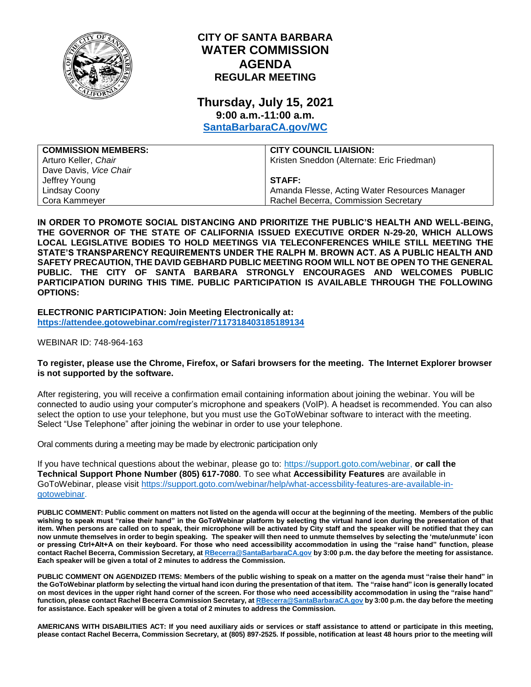

# **CITY OF SANTA BARBARA WATER COMMISSION AGENDA REGULAR MEETING**

# **Thursday, July 15, 2021 9:00 a.m.-11:00 a.m.**

**[SantaBarbaraCA.gov/WC](http://www.santabarbaraca.gov/wc)**

| <b>COMMISSION MEMBERS:</b> | <b>CITY COUNCIL LIAISION:</b>                 |
|----------------------------|-----------------------------------------------|
| Arturo Keller, Chair       | Kristen Sneddon (Alternate: Eric Friedman)    |
| Dave Davis, Vice Chair     |                                               |
| Jeffrey Young              | <b>STAFF:</b>                                 |
| Lindsay Coony              | Amanda Flesse, Acting Water Resources Manager |
| Cora Kammeyer              | Rachel Becerra, Commission Secretary          |

**IN ORDER TO PROMOTE SOCIAL DISTANCING AND PRIORITIZE THE PUBLIC'S HEALTH AND WELL-BEING, THE GOVERNOR OF THE STATE OF CALIFORNIA ISSUED EXECUTIVE ORDER N-29-20, WHICH ALLOWS LOCAL LEGISLATIVE BODIES TO HOLD MEETINGS VIA TELECONFERENCES WHILE STILL MEETING THE STATE'S TRANSPARENCY REQUIREMENTS UNDER THE RALPH M. BROWN ACT. AS A PUBLIC HEALTH AND SAFETY PRECAUTION, THE DAVID GEBHARD PUBLIC MEETING ROOM WILL NOT BE OPEN TO THE GENERAL PUBLIC. THE CITY OF SANTA BARBARA STRONGLY ENCOURAGES AND WELCOMES PUBLIC PARTICIPATION DURING THIS TIME. PUBLIC PARTICIPATION IS AVAILABLE THROUGH THE FOLLOWING OPTIONS:**

**ELECTRONIC PARTICIPATION: Join Meeting Electronically at: <https://attendee.gotowebinar.com/register/7117318403185189134>**

WEBINAR ID: 748-964-163

## **To register, please use the Chrome, Firefox, or Safari browsers for the meeting. The Internet Explorer browser is not supported by the software.**

After registering, you will receive a confirmation email containing information about joining the webinar. You will be connected to audio using your computer's microphone and speakers (VoIP). A headset is recommended. You can also select the option to use your telephone, but you must use the GoToWebinar software to interact with the meeting. Select "Use Telephone" after joining the webinar in order to use your telephone.

Oral comments during a meeting may be made by electronic participation only

If you have technical questions about the webinar, please go to: [https://support.goto.com/webinar,](https://support.goto.com/webinar) **or call the Technical Support Phone Number (805) 617-7080**. To see what **Accessibility Features** are available in GoToWebinar, please visit [https://support.goto.com/webinar/help/what-accessbility-features-are-available-in](https://support.goto.com/webinar/help/what-accessbility-features-are-available-in-gotowebinar)[gotowebinar.](https://support.goto.com/webinar/help/what-accessbility-features-are-available-in-gotowebinar)

**PUBLIC COMMENT: Public comment on matters not listed on the agenda will occur at the beginning of the meeting. Members of the public wishing to speak must "raise their hand" in the GoToWebinar platform by selecting the virtual hand icon during the presentation of that item. When persons are called on to speak, their microphone will be activated by City staff and the speaker will be notified that they can now unmute themselves in order to begin speaking. The speaker will then need to unmute themselves by selecting the 'mute/unmute' icon or pressing Ctrl+Alt+A on their keyboard. For those who need accessibility accommodation in using the "raise hand" function, please contact Rachel Becerra, Commission Secretary, a[t RBecerra@SantaBarbaraCA.gov](mailto:RBecerra@SantaBarbaraCA.gov) by 3:00 p.m. the day before the meeting for assistance. Each speaker will be given a total of 2 minutes to address the Commission.** 

**PUBLIC COMMENT ON AGENDIZED ITEMS: Members of the public wishing to speak on a matter on the agenda must "raise their hand" in the GoToWebinar platform by selecting the virtual hand icon during the presentation of that item. The "raise hand" icon is generally located on most devices in the upper right hand corner of the screen. For those who need accessibility accommodation in using the "raise hand" function, please contact Rachel Becerra Commission Secretary, a[t RBecerra@SantaBarbaraCA.gov](mailto:RBecerra@SantaBarbaraCA.gov) by 3:00 p.m. the day before the meeting for assistance. Each speaker will be given a total of 2 minutes to address the Commission.** 

**AMERICANS WITH DISABILITIES ACT: If you need auxiliary aids or services or staff assistance to attend or participate in this meeting, please contact Rachel Becerra, Commission Secretary, at (805) 897-2525. If possible, notification at least 48 hours prior to the meeting will**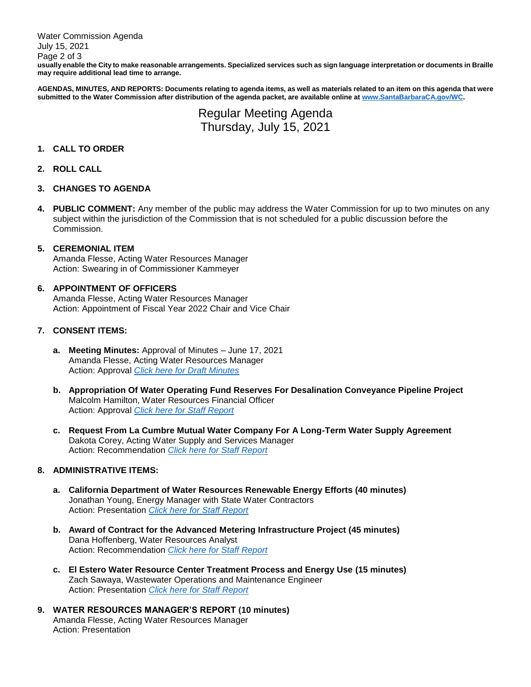Water Commission Agenda July 15, 2021 Page 2 of 3 **usually enable the City to make reasonable arrangements. Specialized services such as sign language interpretation or documents in Braille may require additional lead time to arrange.**

**AGENDAS, MINUTES, AND REPORTS: Documents relating to agenda items, as well as materials related to an item on this agenda that were submitted to the Water Commission after distribution of the agenda packet, are available online a[t www.SantaBarbaraCA.gov/WC.](http://www.santabarbaraca.gov/WC)**

> Regular Meeting Agenda Thursday, July 15, 2021

# **1. CALL TO ORDER**

# **2. ROLL CALL**

#### **3. CHANGES TO AGENDA**

**4. PUBLIC COMMENT:** Any member of the public may address the Water Commission for up to two minutes on any subject within the jurisdiction of the Commission that is not scheduled for a public discussion before the Commission.

# **5. CEREMONIAL ITEM**

Amanda Flesse, Acting Water Resources Manager Action: Swearing in of Commissioner Kammeyer

#### **6. APPOINTMENT OF OFFICERS**

Amanda Flesse, Acting Water Resources Manager Action: Appointment of Fiscal Year 2022 Chair and Vice Chair

# **7. CONSENT ITEMS:**

- **a. Meeting Minutes:** Approval of Minutes June 17, 2021 Amanda Flesse, Acting Water Resources Manager Action: Approval *[Click here for Draft Minutes](https://www.santabarbaraca.gov/civicax/filebank/blobdload.aspx?BlobID=237830)*
- **b. Appropriation Of Water Operating Fund Reserves For Desalination Conveyance Pipeline Project** Malcolm Hamilton, Water Resources Financial Officer Action: Approval *[Click here for Staff Report](https://www.santabarbaraca.gov/civicax/filebank/blobdload.aspx?BlobID=237831)*
- **c. Request From La Cumbre Mutual Water Company For A Long-Term Water Supply Agreement** Dakota Corey, Acting Water Supply and Services Manager Action: Recommendation *[Click here for Staff Report](https://www.santabarbaraca.gov/civicax/filebank/blobdload.aspx?BlobID=237832)*

# **8. ADMINISTRATIVE ITEMS:**

- **a. California Department of Water Resources Renewable Energy Efforts (40 minutes)** Jonathan Young, Energy Manager with State Water Contractors Action: Presentation *[Click here for Staff Report](https://www.santabarbaraca.gov/civicax/filebank/blobdload.aspx?BlobID=237833)*
- **b. Award of Contract for the Advanced Metering Infrastructure Project (45 minutes)** Dana Hoffenberg, Water Resources Analyst Action: Recommendation *[Click here for Staff Report](https://www.santabarbaraca.gov/civicax/filebank/blobdload.aspx?BlobID=237834)*
- **c. El Estero Water Resource Center Treatment Process and Energy Use (15 minutes)** Zach Sawaya, Wastewater Operations and Maintenance Engineer Action: Presentation *[Click here for Staff Report](https://www.santabarbaraca.gov/civicax/filebank/blobdload.aspx?BlobID=237835)*
- **9. WATER RESOURCES MANAGER'S REPORT (10 minutes)** Amanda Flesse, Acting Water Resources Manager Action: Presentation